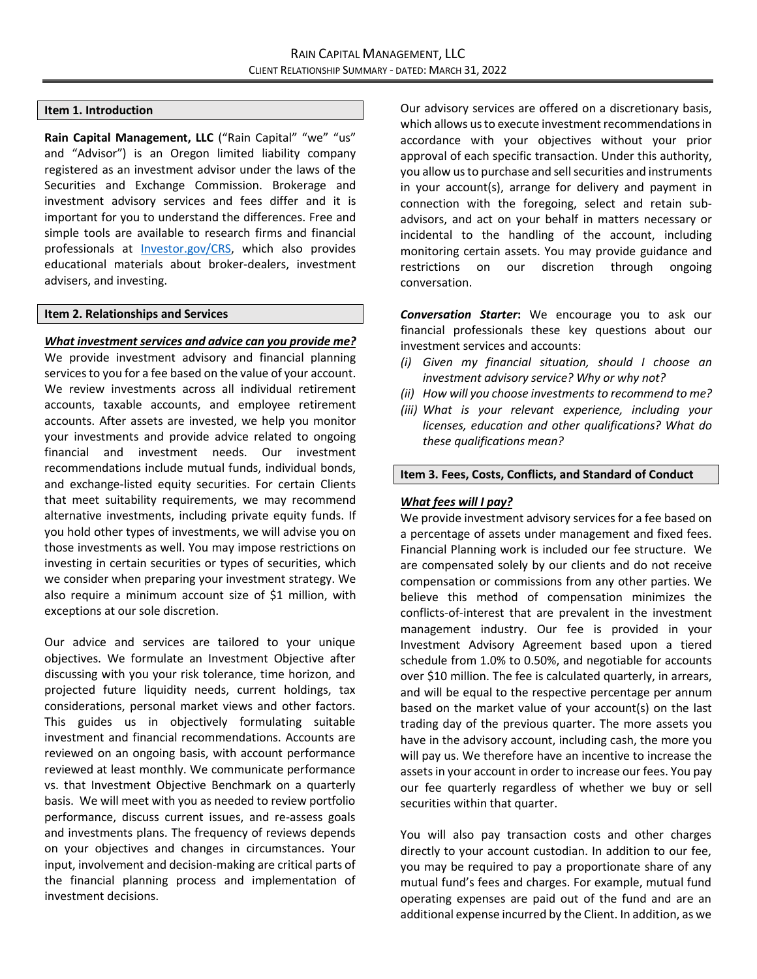### **Item 1. Introduction**

Rain Capital Management, LLC ("Rain Capital" "we" "us" and "Advisor") is an Oregon limited liability company registered as an investment advisor under the laws of the Securities and Exchange Commission. Brokerage and investment advisory services and fees differ and it is important for you to understand the differences. Free and simple tools are available to research firms and financial professionals at [Investor.gov/CRS,](https://www.investor.gov/CRS) which also provides educational materials about broker-dealers, investment advisers, and investing.

#### **Item 2. Relationships and Services**

*What investment services and advice can you provide me?* We provide investment advisory and financial planning services to you for a fee based on the value of your account. We review investments across all individual retirement accounts, taxable accounts, and employee retirement accounts. After assets are invested, we help you monitor your investments and provide advice related to ongoing financial and investment needs. Our investment recommendations include mutual funds, individual bonds, and exchange-listed equity securities. For certain Clients that meet suitability requirements, we may recommend alternative investments, including private equity funds. If you hold other types of investments, we will advise you on those investments as well. You may impose restrictions on investing in certain securities or types of securities, which we consider when preparing your investment strategy. We also require a minimum account size of \$1 million, with exceptions at our sole discretion.

Our advice and services are tailored to your unique objectives. We formulate an Investment Objective after discussing with you your risk tolerance, time horizon, and projected future liquidity needs, current holdings, tax considerations, personal market views and other factors. This guides us in objectively formulating suitable investment and financial recommendations. Accounts are reviewed on an ongoing basis, with account performance reviewed at least monthly. We communicate performance vs. that Investment Objective Benchmark on a quarterly basis. We will meet with you as needed to review portfolio performance, discuss current issues, and re-assess goals and investments plans. The frequency of reviews depends on your objectives and changes in circumstances. Your input, involvement and decision-making are critical parts of the financial planning process and implementation of investment decisions.

Our advisory services are offered on a discretionary basis, which allows us to execute investment recommendations in accordance with your objectives without your prior approval of each specific transaction. Under this authority, you allow us to purchase and sell securities and instruments in your account(s), arrange for delivery and payment in connection with the foregoing, select and retain subadvisors, and act on your behalf in matters necessary or incidental to the handling of the account, including monitoring certain assets. You may provide guidance and restrictions on our discretion through ongoing conversation.

*Conversation Starter***:** We encourage you to ask our financial professionals these key questions about our investment services and accounts:

- *(i) Given my financial situation, should I choose an investment advisory service? Why or why not?*
- *(ii) How will you choose investments to recommend to me?*
- *(iii) What is your relevant experience, including your licenses, education and other qualifications? What do these qualifications mean?*

## **Item 3. Fees, Costs, Conflicts, and Standard of Conduct**

### *What fees will I pay?*

We provide investment advisory services for a fee based on a percentage of assets under management and fixed fees. Financial Planning work is included our fee structure. We are compensated solely by our clients and do not receive compensation or commissions from any other parties. We believe this method of compensation minimizes the conflicts-of-interest that are prevalent in the investment management industry. Our fee is provided in your Investment Advisory Agreement based upon a tiered schedule from 1.0% to 0.50%, and negotiable for accounts over \$10 million. The fee is calculated quarterly, in arrears, and will be equal to the respective percentage per annum based on the market value of your account(s) on the last trading day of the previous quarter. The more assets you have in the advisory account, including cash, the more you will pay us. We therefore have an incentive to increase the assets in your account in order to increase our fees. You pay our fee quarterly regardless of whether we buy or sell securities within that quarter.

You will also pay transaction costs and other charges directly to your account custodian. In addition to our fee, you may be required to pay a proportionate share of any mutual fund's fees and charges. For example, mutual fund operating expenses are paid out of the fund and are an additional expense incurred by the Client. In addition, as we